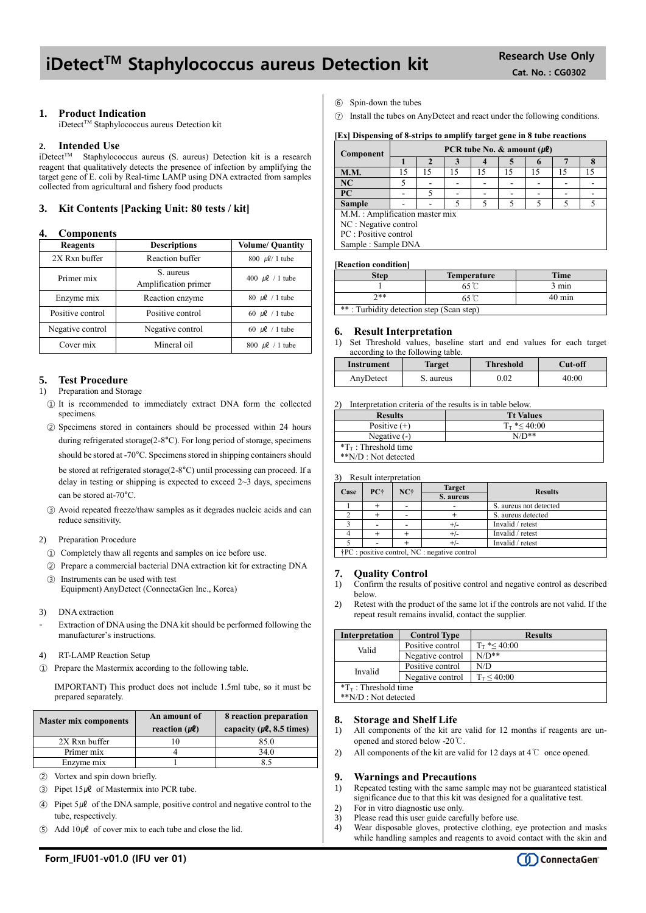## iDetect<sup>™</sup> Staphylococcus aureus Detection kit Research Use Only

## **1. Product Indication**

iDetect™ Staphylococcus aureus Detection kit

#### **2. Intended Use**

iDetect<sup>TM</sup> Staphylococcus aureus (S. aureus) Detection kit is a research reagent that qualitatively detects the presence of infection by amplifying the target gene of E. coli by Real-time LAMP using DNA extracted from samples collected from agricultural and fishery food products

## **3. Kit Contents [Packing Unit: 80 tests / kit]**

#### **4. Components**

| Reagents         | <b>Descriptions</b>               | <b>Volume/ Quantity</b> |  |
|------------------|-----------------------------------|-------------------------|--|
| 2X Rxn buffer    | Reaction buffer                   | $800 \, \mu\ell/1$ tube |  |
| Primer mix       | S. aureus<br>Amplification primer | 400 $\mu$ l / 1 tube    |  |
| Enzyme mix       | Reaction enzyme                   | 80 $\mu$ l / 1 tube     |  |
| Positive control | Positive control                  | 60 $\mu$ l / 1 tube     |  |
| Negative control | Negative control                  | 60 $\mu$ l / 1 tube     |  |
| Cover mix        | Mineral oil                       | 800 $\mu$ l / 1 tube    |  |

### **5. Test Procedure**

#### 1) Preparation and Storage

- ① It is recommended to immediately extract DNA form the collected specimens.
- ② Specimens stored in containers should be processed within 24 hours during refrigerated storage(2-8°C). For long period of storage, specimens should be stored at -70°C. Specimens stored in shipping containers should be stored at refrigerated storage(2-8°C) until processing can proceed. If a delay in testing or shipping is expected to exceed  $2 \sim 3$  days, specimens can be stored at-70°C.
- ③ Avoid repeated freeze/thaw samples as it degrades nucleic acids and can reduce sensitivity.

#### 2) Preparation Procedure

- ① Completely thaw all regents and samples on ice before use.
- ② Prepare a commercial bacterial DNA extraction kit for extracting DNA ③ Instruments can be used with test

Equipment) AnyDetect (ConnectaGen Inc., Korea)

- 3) DNA extraction
- Extraction of DNA using the DNA kit should be performed following the manufacturer's instructions.
- 4) RT-LAMP Reaction Setup
- ① Prepare the Mastermix according to the following table.

IMPORTANT) This product does not include 1.5ml tube, so it must be prepared separately.

| <b>Master mix components</b> | An amount of<br>reaction $(\mu \ell)$ | 8 reaction preparation<br>capacity ( $\mu$ <b>l</b> , 8.5 times) |  |  |
|------------------------------|---------------------------------------|------------------------------------------------------------------|--|--|
| 2X Rxn buffer                |                                       | 85.0                                                             |  |  |
| Primer mix                   |                                       | 34.0                                                             |  |  |
| Enzyme mix                   |                                       |                                                                  |  |  |

- ② Vortex and spin down briefly.
- $\textcircled{3}$  Pipet 15µl of Mastermix into PCR tube.
- $\Theta$  Pipet 5µ $\theta$  of the DNA sample, positive control and negative control to the tube, respectively.
- Add  $10\mu\ell$  of cover mix to each tube and close the lid.
- ⑥ Spin-down the tubes
- ⑦ Install the tubes on AnyDetect and react under the following conditions.

#### **[Ex] Dispensing of 8-strips to amplify target gene in 8 tube reactions**

| Component                       | PCR tube No. $\&$ amount ( $\mu$ <b>l</b> ) |    |    |    |    |    |    |    |
|---------------------------------|---------------------------------------------|----|----|----|----|----|----|----|
|                                 |                                             |    |    |    |    |    |    |    |
| <b>M.M.</b>                     | 15                                          | 15 | 15 | 15 | 15 | 15 | 15 | 15 |
| <b>NC</b>                       |                                             |    |    |    |    |    |    |    |
| <b>PC</b>                       |                                             | 5  |    |    |    |    |    |    |
| <b>Sample</b>                   |                                             |    |    |    |    |    |    |    |
| M.M. : Amplification master mix |                                             |    |    |    |    |    |    |    |
| NC : Negative control           |                                             |    |    |    |    |    |    |    |
| PC : Positive control           |                                             |    |    |    |    |    |    |    |
| Sample: Sample DNA              |                                             |    |    |    |    |    |    |    |

#### **[Reaction condition]**

| <b>Step</b>                              | <b>Temperature</b> | <b>Time</b>     |  |  |
|------------------------------------------|--------------------|-----------------|--|--|
|                                          |                    | $3 \text{ min}$ |  |  |
| ን**                                      | $40 \text{ min}$   |                 |  |  |
| **: Turbidity detection step (Scan step) |                    |                 |  |  |

#### **6. Result Interpretation**

1) Set Threshold values, baseline start and end values for each target according to the following table.

| Instrument | <b>Target</b> | <b>Threshold</b> | Cut-off |
|------------|---------------|------------------|---------|
| AnyDetect  | S. aureus     | $0.02\,$         | 40:00   |

2) Interpretation criteria of the results is in table below.

| <b>Results</b>                  | <b>Tt Values</b>     |
|---------------------------------|----------------------|
| Positive $(+)$                  | $T_{\rm T}$ *< 40:00 |
| Negative $(-)$                  | $N/D**$              |
| $T_{\text{T}}$ : Threshold time |                      |
| **N/D : Not detected            |                      |

3) Result interpretation

|      |                                                        |       | <b>Target</b> |                        |
|------|--------------------------------------------------------|-------|---------------|------------------------|
| Case | PC+                                                    | $NC+$ | S. aureus     | <b>Results</b>         |
|      |                                                        |       |               | S. aureus not detected |
|      |                                                        |       |               | S. aureus detected     |
|      |                                                        |       |               | Invalid / retest       |
|      |                                                        |       |               | Invalid / retest       |
|      |                                                        |       |               | Invalid / retest       |
|      | $\dagger$ PC : positive control, NC : negative control |       |               |                        |

## **7. Quality Control**

- 1) Confirm the results of positive control and negative control as described below.
- 2) Retest with the product of the same lot if the controls are not valid. If the repeat result remains invalid, contact the supplier.

| <b>Interpretation</b>           | <b>Control Type</b> | <b>Results</b>       |  |  |
|---------------------------------|---------------------|----------------------|--|--|
| Valid                           | Positive control    | $T_{\rm T}$ *< 40:00 |  |  |
|                                 | Negative control    | $N/D**$              |  |  |
| Invalid                         | Positive control    | N/D                  |  |  |
| Negative control                |                     | $T_T < 40:00$        |  |  |
| $T_{\text{T}}$ : Threshold time |                     |                      |  |  |
| **N/D : Not detected            |                     |                      |  |  |

#### **8. Storage and Shelf Life**

- 1) All components of the kit are valid for 12 months if reagents are unopened and stored below -20℃.
- 2) All components of the kit are valid for 12 days at 4℃ once opened.

#### **9. Warnings and Precautions**

- 1) Repeated testing with the same sample may not be guaranteed statistical significance due to that this kit was designed for a qualitative test.
- 2) For in vitro diagnostic use only.
- 3) Please read this user guide carefully before use.
- 4) Wear disposable gloves, protective clothing, eye protection and masks while handling samples and reagents to avoid contact with the skin and